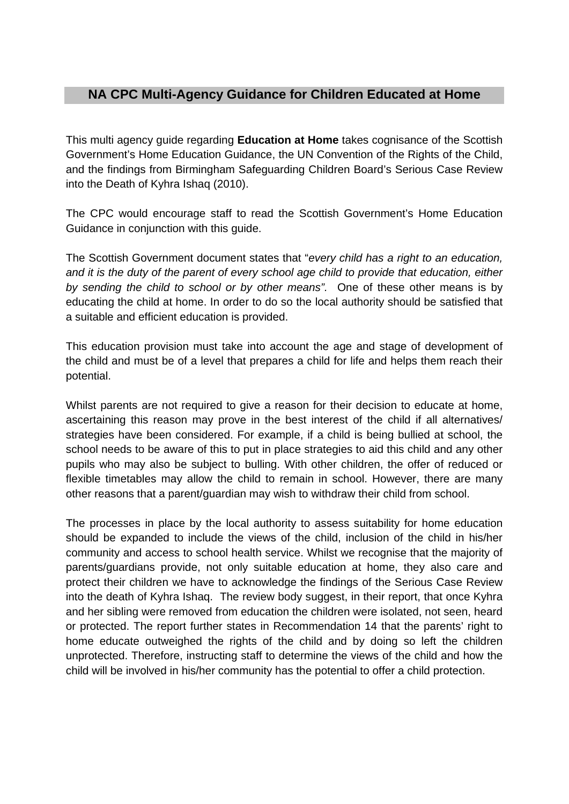# **NA CPC Multi-Agency Guidance for Children Educated at Home**

This multi agency guide regarding **Education at Home** takes cognisance of the Scottish Government's Home Education Guidance, the UN Convention of the Rights of the Child, and the findings from Birmingham Safeguarding Children Board's Serious Case Review into the Death of Kyhra Ishaq (2010).

The CPC would encourage staff to read the Scottish Government's Home Education Guidance in conjunction with this guide.

The Scottish Government document states that "*every child has a right to an education, and it is the duty of the parent of every school age child to provide that education, either by sending the child to school or by other means".* One of these other means is by educating the child at home. In order to do so the local authority should be satisfied that a suitable and efficient education is provided.

This education provision must take into account the age and stage of development of the child and must be of a level that prepares a child for life and helps them reach their potential.

Whilst parents are not required to give a reason for their decision to educate at home, ascertaining this reason may prove in the best interest of the child if all alternatives/ strategies have been considered. For example, if a child is being bullied at school, the school needs to be aware of this to put in place strategies to aid this child and any other pupils who may also be subject to bulling. With other children, the offer of reduced or flexible timetables may allow the child to remain in school. However, there are many other reasons that a parent/guardian may wish to withdraw their child from school.

The processes in place by the local authority to assess suitability for home education should be expanded to include the views of the child, inclusion of the child in his/her community and access to school health service. Whilst we recognise that the majority of parents/guardians provide, not only suitable education at home, they also care and protect their children we have to acknowledge the findings of the Serious Case Review into the death of Kyhra Ishaq. The review body suggest, in their report, that once Kyhra and her sibling were removed from education the children were isolated, not seen, heard or protected. The report further states in Recommendation 14 that the parents' right to home educate outweighed the rights of the child and by doing so left the children unprotected. Therefore, instructing staff to determine the views of the child and how the child will be involved in his/her community has the potential to offer a child protection.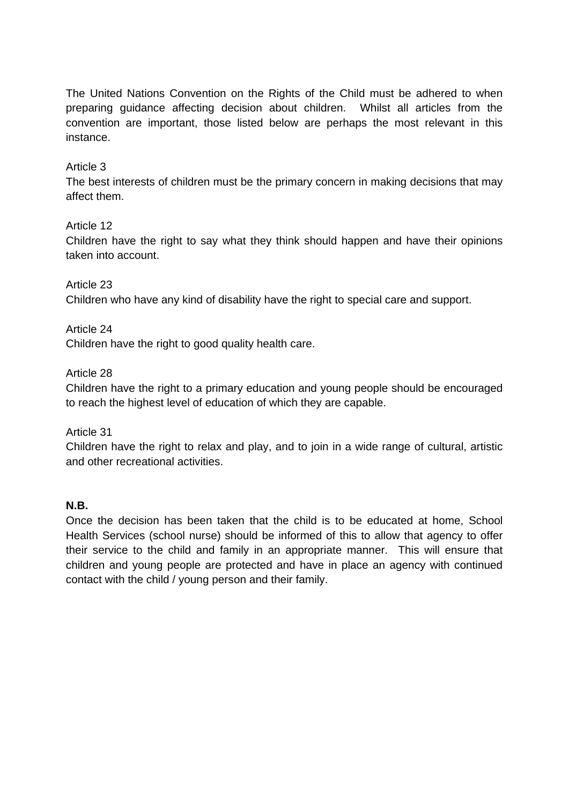The United Nations Convention on the Rights of the Child must be adhered to when preparing guidance affecting decision about children. Whilst all articles from the convention are important, those listed below are perhaps the most relevant in this instance.

# Article 3

The best interests of children must be the primary concern in making decisions that may affect them.

### Article 12

Children have the right to say what they think should happen and have their opinions taken into account.

### Article 23

Children who have any kind of disability have the right to special care and support.

Article 24 Children have the right to good quality health care.

Article 28

Children have the right to a primary education and young people should be encouraged to reach the highest level of education of which they are capable.

Article 31

Children have the right to relax and play, and to join in a wide range of cultural, artistic and other recreational activities.

### **N.B.**

Once the decision has been taken that the child is to be educated at home, School Health Services (school nurse) should be informed of this to allow that agency to offer their service to the child and family in an appropriate manner. This will ensure that children and young people are protected and have in place an agency with continued contact with the child / young person and their family.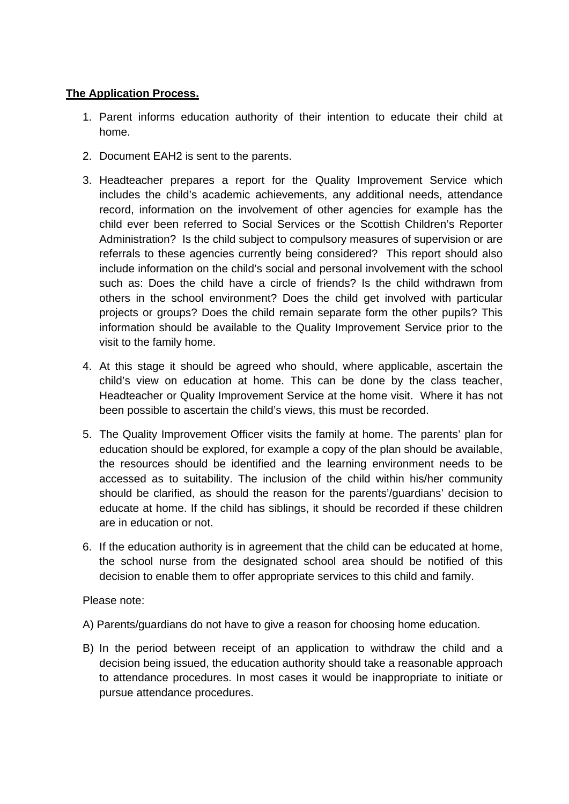# **The Application Process.**

- 1. Parent informs education authority of their intention to educate their child at home.
- 2. Document EAH2 is sent to the parents.
- 3. Headteacher prepares a report for the Quality Improvement Service which includes the child's academic achievements, any additional needs, attendance record, information on the involvement of other agencies for example has the child ever been referred to Social Services or the Scottish Children's Reporter Administration? Is the child subject to compulsory measures of supervision or are referrals to these agencies currently being considered? This report should also include information on the child's social and personal involvement with the school such as: Does the child have a circle of friends? Is the child withdrawn from others in the school environment? Does the child get involved with particular projects or groups? Does the child remain separate form the other pupils? This information should be available to the Quality Improvement Service prior to the visit to the family home.
- 4. At this stage it should be agreed who should, where applicable, ascertain the child's view on education at home. This can be done by the class teacher, Headteacher or Quality Improvement Service at the home visit. Where it has not been possible to ascertain the child's views, this must be recorded.
- 5. The Quality Improvement Officer visits the family at home. The parents' plan for education should be explored, for example a copy of the plan should be available, the resources should be identified and the learning environment needs to be accessed as to suitability. The inclusion of the child within his/her community should be clarified, as should the reason for the parents'/guardians' decision to educate at home. If the child has siblings, it should be recorded if these children are in education or not.
- 6. If the education authority is in agreement that the child can be educated at home, the school nurse from the designated school area should be notified of this decision to enable them to offer appropriate services to this child and family.

### Please note:

- A) Parents/guardians do not have to give a reason for choosing home education.
- B) In the period between receipt of an application to withdraw the child and a decision being issued, the education authority should take a reasonable approach to attendance procedures. In most cases it would be inappropriate to initiate or pursue attendance procedures.